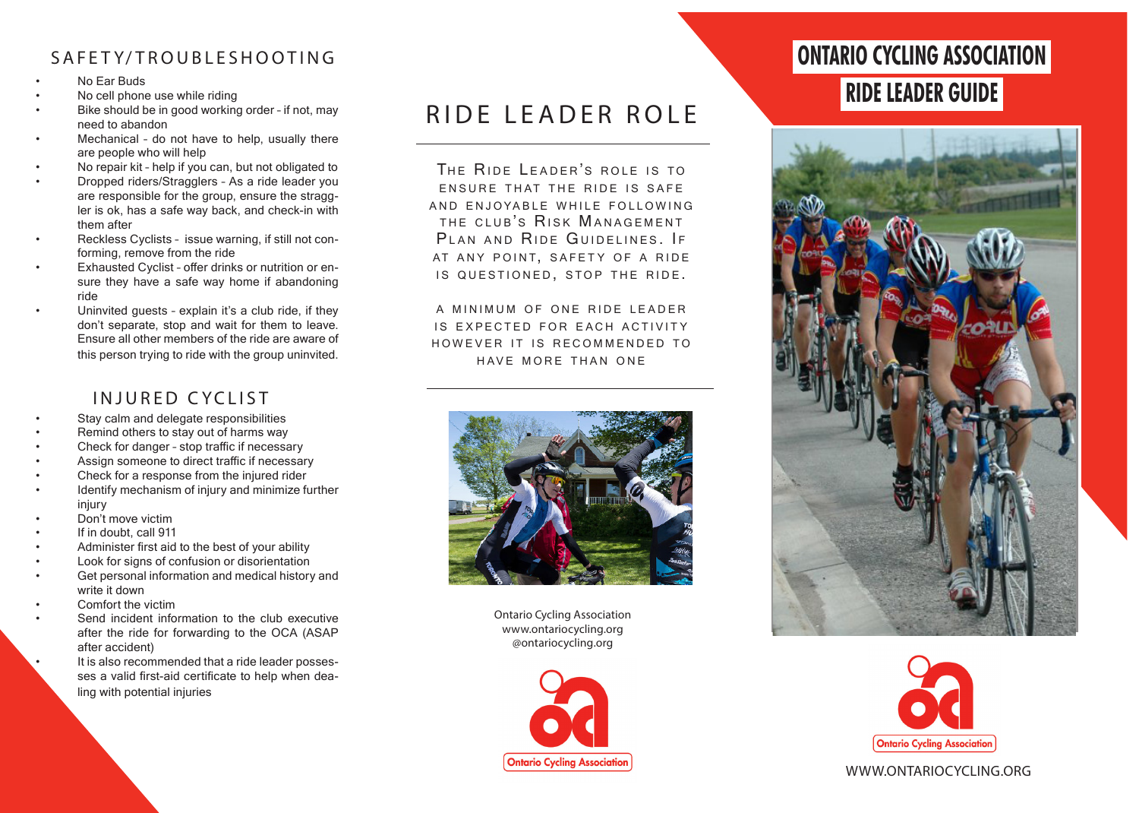# SAFET Y/ TROUBLESHOOTING

- No Ear Buds
- No cell phone use while riding
- Bike should be in good working order if not, may need to abandon
- Mechanical do not have to help, usually there are people who will help
- No repair kit help if you can, but not obligated to
- Dropped riders/Stragglers As a ride leader you are responsible for the group, ensure the straggler is ok, has a safe way back, and check-in with them after
- Reckless Cyclists issue warning, if still not conforming, remove from the ride
- Exhausted Cyclist offer drinks or nutrition or ensure they have a safe way home if abandoning ride
- Uninvited guests explain it's a club ride, if they don't separate, stop and wait for them to leave. Ensure all other members of the ride are aware of this person trying to ride with the group uninvited.

# INJURED CYCLIST

- Stay calm and delegate responsibilities
- Remind others to stay out of harms way
- Check for danger stop traffic if necessary
- Assign someone to direct traffic if necessary
- Check for a response from the injured rider
- Identify mechanism of injury and minimize further injury
- Don't move victim
- If in doubt, call 911
- Administer first aid to the best of your ability
- Look for signs of confusion or disorientation
- Get personal information and medical history and write it down
- Comfort the victim
- Send incident information to the club executive after the ride for forwarding to the OCA (ASAP after accident)

It is also recommended that a ride leader possesses a valid first-aid certificate to help when dealing with potential injuries

# RIDE LEADER ROLE

THE RIDE LEADER'S ROLE IS TO **ENSURE THAT THE RIDE IS SAFE** AND ENJOYABLE WHILE FOLLOWING THE CLUB'S RISK MANAGEMENT PLAN AND RIDE GUIDELINES. IF AT ANY POINT, SAFETY OF A RIDE IS QUESTIONED, STOP THE RIDE.

A MINIMUM OF ONE RIDE LEADER IS EXPECTED FOR EACH ACTIVITY HOWEVER IT IS RECOMMENDED TO HAVE MORE THAN ONE



Ontario Cycling Association www.ontariocycling.org @ontariocycling.org



# **ONTARIO CYCLING ASSOCIATION**

# **RIDE LEADER GUIDE**





### WWW.ONTARIOCYCLING.ORG